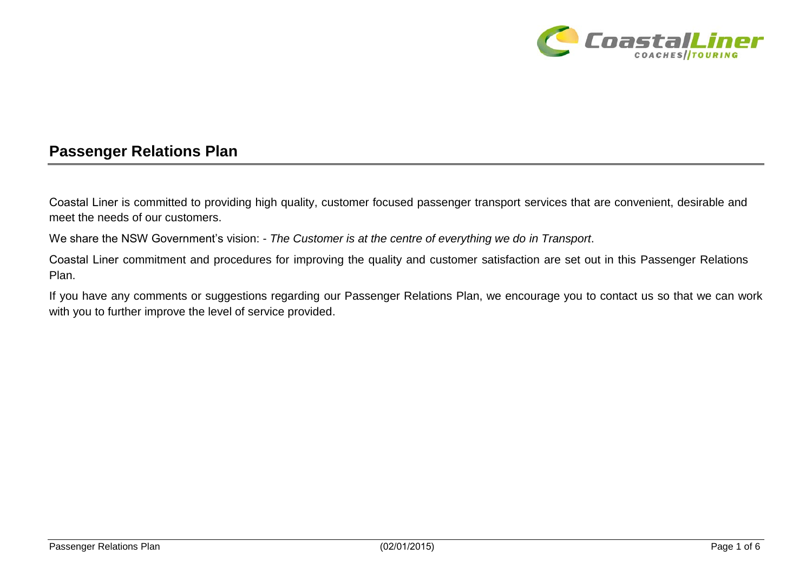

## **Passenger Relations Plan**

Coastal Liner is committed to providing high quality, customer focused passenger transport services that are convenient, desirable and meet the needs of our customers.

We share the NSW Government's vision: - *The Customer is at the centre of everything we do in Transport*.

Coastal Liner commitment and procedures for improving the quality and customer satisfaction are set out in this Passenger Relations Plan.

If you have any comments or suggestions regarding our Passenger Relations Plan, we encourage you to contact us so that we can work with you to further improve the level of service provided.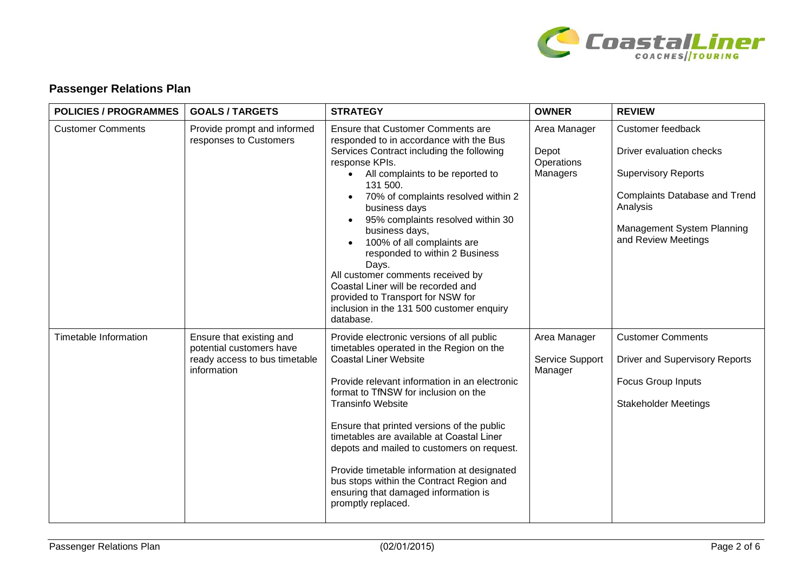

## **Passenger Relations Plan**

| <b>POLICIES / PROGRAMMES</b> | <b>GOALS/TARGETS</b>                                                                                 | <b>STRATEGY</b>                                                                                                                                                                                                                                                                                                                                                                                                                                                                                                                                               | <b>OWNER</b>                                    | <b>REVIEW</b>                                                                                                                                                                        |
|------------------------------|------------------------------------------------------------------------------------------------------|---------------------------------------------------------------------------------------------------------------------------------------------------------------------------------------------------------------------------------------------------------------------------------------------------------------------------------------------------------------------------------------------------------------------------------------------------------------------------------------------------------------------------------------------------------------|-------------------------------------------------|--------------------------------------------------------------------------------------------------------------------------------------------------------------------------------------|
| <b>Customer Comments</b>     | Provide prompt and informed<br>responses to Customers                                                | Ensure that Customer Comments are<br>responded to in accordance with the Bus<br>Services Contract including the following<br>response KPIs.<br>All complaints to be reported to<br>131 500.<br>70% of complaints resolved within 2<br>business days<br>95% complaints resolved within 30<br>business days,<br>100% of all complaints are<br>responded to within 2 Business<br>Days.<br>All customer comments received by<br>Coastal Liner will be recorded and<br>provided to Transport for NSW for<br>inclusion in the 131 500 customer enquiry<br>database. | Area Manager<br>Depot<br>Operations<br>Managers | Customer feedback<br>Driver evaluation checks<br><b>Supervisory Reports</b><br><b>Complaints Database and Trend</b><br>Analysis<br>Management System Planning<br>and Review Meetings |
| Timetable Information        | Ensure that existing and<br>potential customers have<br>ready access to bus timetable<br>information | Provide electronic versions of all public<br>timetables operated in the Region on the<br><b>Coastal Liner Website</b><br>Provide relevant information in an electronic<br>format to TfNSW for inclusion on the<br><b>Transinfo Website</b><br>Ensure that printed versions of the public<br>timetables are available at Coastal Liner<br>depots and mailed to customers on request.<br>Provide timetable information at designated<br>bus stops within the Contract Region and<br>ensuring that damaged information is<br>promptly replaced.                  | Area Manager<br>Service Support<br>Manager      | <b>Customer Comments</b><br><b>Driver and Supervisory Reports</b><br>Focus Group Inputs<br><b>Stakeholder Meetings</b>                                                               |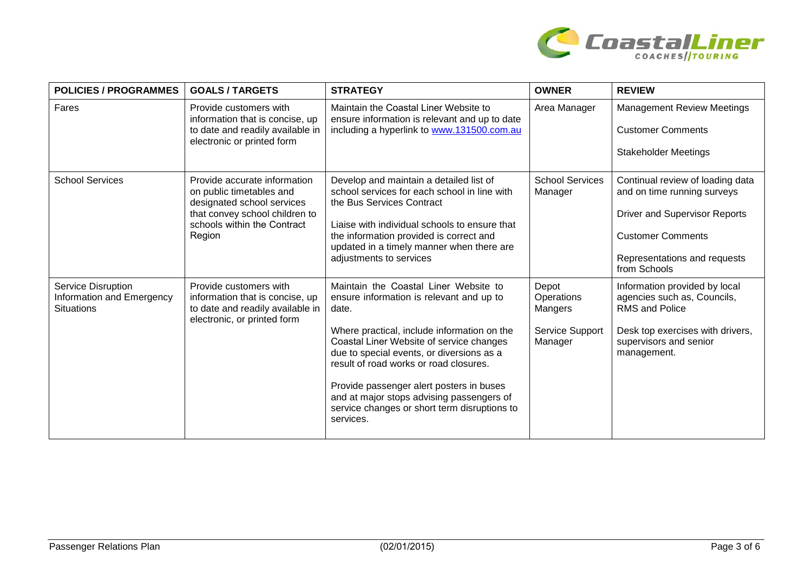

| <b>POLICIES / PROGRAMMES</b>                                         | <b>GOALS/TARGETS</b>                                                                                                                                              | <b>STRATEGY</b>                                                                                                                                                                                                                                                                                                                                                                                                                    | <b>OWNER</b>                                                 | <b>REVIEW</b>                                                                                                                                                                       |
|----------------------------------------------------------------------|-------------------------------------------------------------------------------------------------------------------------------------------------------------------|------------------------------------------------------------------------------------------------------------------------------------------------------------------------------------------------------------------------------------------------------------------------------------------------------------------------------------------------------------------------------------------------------------------------------------|--------------------------------------------------------------|-------------------------------------------------------------------------------------------------------------------------------------------------------------------------------------|
| Fares                                                                | Provide customers with<br>information that is concise, up<br>to date and readily available in<br>electronic or printed form                                       | Maintain the Coastal Liner Website to<br>ensure information is relevant and up to date<br>including a hyperlink to www.131500.com.au                                                                                                                                                                                                                                                                                               | Area Manager                                                 | <b>Management Review Meetings</b><br><b>Customer Comments</b><br><b>Stakeholder Meetings</b>                                                                                        |
| <b>School Services</b>                                               | Provide accurate information<br>on public timetables and<br>designated school services<br>that convey school children to<br>schools within the Contract<br>Region | Develop and maintain a detailed list of<br>school services for each school in line with<br>the Bus Services Contract<br>Liaise with individual schools to ensure that<br>the information provided is correct and<br>updated in a timely manner when there are<br>adjustments to services                                                                                                                                           | <b>School Services</b><br>Manager                            | Continual review of loading data<br>and on time running surveys<br><b>Driver and Supervisor Reports</b><br><b>Customer Comments</b><br>Representations and requests<br>from Schools |
| Service Disruption<br>Information and Emergency<br><b>Situations</b> | Provide customers with<br>information that is concise, up<br>to date and readily available in<br>electronic, or printed form                                      | Maintain the Coastal Liner Website to<br>ensure information is relevant and up to<br>date.<br>Where practical, include information on the<br>Coastal Liner Website of service changes<br>due to special events, or diversions as a<br>result of road works or road closures.<br>Provide passenger alert posters in buses<br>and at major stops advising passengers of<br>service changes or short term disruptions to<br>services. | Depot<br>Operations<br>Mangers<br>Service Support<br>Manager | Information provided by local<br>agencies such as, Councils,<br><b>RMS and Police</b><br>Desk top exercises with drivers,<br>supervisors and senior<br>management.                  |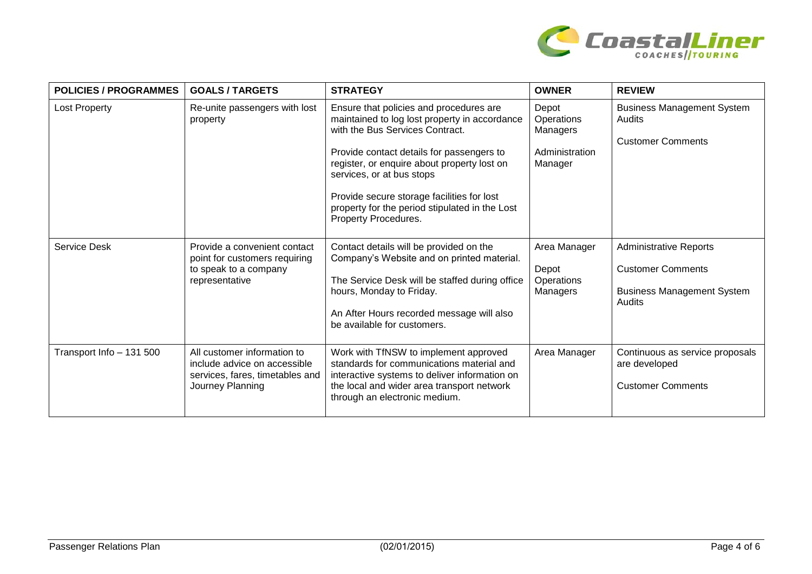

| <b>POLICIES / PROGRAMMES</b> | <b>GOALS/TARGETS</b>                                                                                               | <b>STRATEGY</b>                                                                                                                                                                                                                                                                                                                                                              | <b>OWNER</b>                                                 | <b>REVIEW</b>                                                                                            |
|------------------------------|--------------------------------------------------------------------------------------------------------------------|------------------------------------------------------------------------------------------------------------------------------------------------------------------------------------------------------------------------------------------------------------------------------------------------------------------------------------------------------------------------------|--------------------------------------------------------------|----------------------------------------------------------------------------------------------------------|
| <b>Lost Property</b>         | Re-unite passengers with lost<br>property                                                                          | Ensure that policies and procedures are<br>maintained to log lost property in accordance<br>with the Bus Services Contract.<br>Provide contact details for passengers to<br>register, or enquire about property lost on<br>services, or at bus stops<br>Provide secure storage facilities for lost<br>property for the period stipulated in the Lost<br>Property Procedures. | Depot<br>Operations<br>Managers<br>Administration<br>Manager | <b>Business Management System</b><br>Audits<br><b>Customer Comments</b>                                  |
| <b>Service Desk</b>          | Provide a convenient contact<br>point for customers requiring<br>to speak to a company<br>representative           | Contact details will be provided on the<br>Company's Website and on printed material.<br>The Service Desk will be staffed during office<br>hours, Monday to Friday.<br>An After Hours recorded message will also<br>be available for customers.                                                                                                                              | Area Manager<br>Depot<br>Operations<br>Managers              | <b>Administrative Reports</b><br><b>Customer Comments</b><br><b>Business Management System</b><br>Audits |
| Transport Info - 131 500     | All customer information to<br>include advice on accessible<br>services, fares, timetables and<br>Journey Planning | Work with TfNSW to implement approved<br>standards for communications material and<br>interactive systems to deliver information on<br>the local and wider area transport network<br>through an electronic medium.                                                                                                                                                           | Area Manager                                                 | Continuous as service proposals<br>are developed<br><b>Customer Comments</b>                             |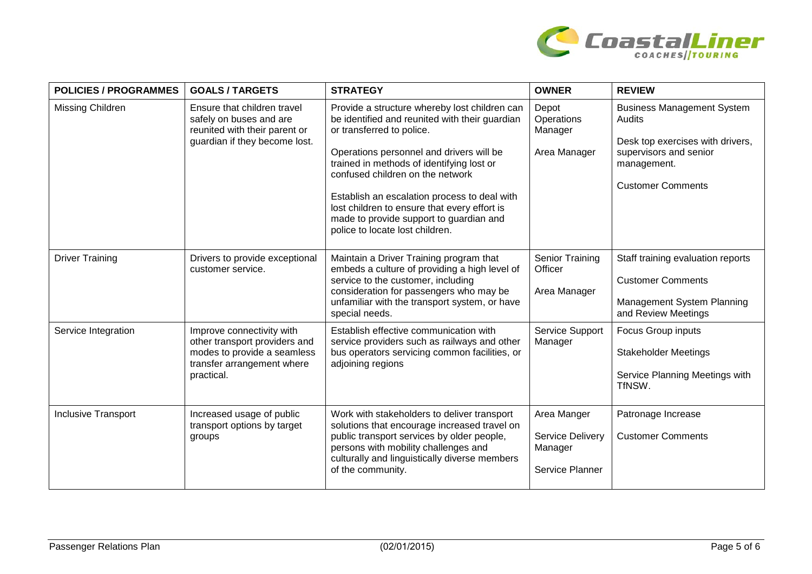

| <b>POLICIES / PROGRAMMES</b> | <b>GOALS/TARGETS</b>                                                                                                                  | <b>STRATEGY</b>                                                                                                                                                                                                                                                                                                                                                                                                                         | <b>OWNER</b>                                                         | <b>REVIEW</b>                                                                                                                                        |
|------------------------------|---------------------------------------------------------------------------------------------------------------------------------------|-----------------------------------------------------------------------------------------------------------------------------------------------------------------------------------------------------------------------------------------------------------------------------------------------------------------------------------------------------------------------------------------------------------------------------------------|----------------------------------------------------------------------|------------------------------------------------------------------------------------------------------------------------------------------------------|
| Missing Children             | Ensure that children travel<br>safely on buses and are<br>reunited with their parent or<br>guardian if they become lost.              | Provide a structure whereby lost children can<br>be identified and reunited with their guardian<br>or transferred to police.<br>Operations personnel and drivers will be<br>trained in methods of identifying lost or<br>confused children on the network<br>Establish an escalation process to deal with<br>lost children to ensure that every effort is<br>made to provide support to guardian and<br>police to locate lost children. | Depot<br>Operations<br>Manager<br>Area Manager                       | <b>Business Management System</b><br>Audits<br>Desk top exercises with drivers,<br>supervisors and senior<br>management.<br><b>Customer Comments</b> |
| <b>Driver Training</b>       | Drivers to provide exceptional<br>customer service.                                                                                   | Maintain a Driver Training program that<br>embeds a culture of providing a high level of<br>service to the customer, including<br>consideration for passengers who may be<br>unfamiliar with the transport system, or have<br>special needs.                                                                                                                                                                                            | Senior Training<br>Officer<br>Area Manager                           | Staff training evaluation reports<br><b>Customer Comments</b><br>Management System Planning<br>and Review Meetings                                   |
| Service Integration          | Improve connectivity with<br>other transport providers and<br>modes to provide a seamless<br>transfer arrangement where<br>practical. | Establish effective communication with<br>service providers such as railways and other<br>bus operators servicing common facilities, or<br>adjoining regions                                                                                                                                                                                                                                                                            | Service Support<br>Manager                                           | Focus Group inputs<br><b>Stakeholder Meetings</b><br>Service Planning Meetings with<br>TfNSW.                                                        |
| <b>Inclusive Transport</b>   | Increased usage of public<br>transport options by target<br>groups                                                                    | Work with stakeholders to deliver transport<br>solutions that encourage increased travel on<br>public transport services by older people,<br>persons with mobility challenges and<br>culturally and linguistically diverse members<br>of the community.                                                                                                                                                                                 | Area Manger<br><b>Service Delivery</b><br>Manager<br>Service Planner | Patronage Increase<br><b>Customer Comments</b>                                                                                                       |